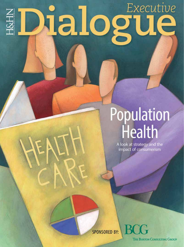#### Executive Malogue H&HN

# **Population**<br>Health

A look at strategy and the impact of consumerism

**SPONSORED BY:** 

**THE BOSTON CONSULTING GROUP** 

BC.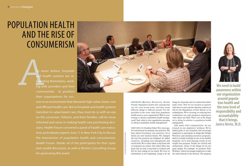### POPULATION HEALTH AND THE RISE OF **CONSUMERISM**

Cover Image by Thinkstock/Photos by Chris Casaburi

MODERATOR (Matthew Weinstock, Health Forum): Population health and consumerism are two very broad terms, and they mean different things to different people. For the providers in the room, what does population health mean to your organization? What is your strategy to advance population health management? And, what is your organization pursuing to advance population health management?

NANCY AGEE, R.N. (Carilion Clinic): Five years ago, we restructured our primary care practices. We have about 62 primary care practices, all of which are now medical homes. We changed the way the practices are designed; we added resources, including case management and social work. We've since taken a step back and re-evaluated our clinics. Our initial effort was good, but we took a step back to evaluate and felt we were taking on too much. We were so enthusiastic at the beginning, trying to do all

**As net**<br>
and he<br>
inventi<br>
ing with<br>
community never before, hospitals and health systems are reinventing themselves, working with providers and their communities to position their organizations for suc-



things for all people and we realized that didn't make sense. Now we are focused on patients with three or more chronic illnesses, patients at risk for the degradation of their disease or for readmissions. We're focusing on reducing their readmission rate and emergency department visits about one-third. That's one of the things we're doing in relation to population health management.

Like many other organizations, we are focused on our employees' wellness. We've added gyms to our hospitals and encourage employees to participate in things like Weight Watchers and smoking-cessation programs. And it's actually working. In one of our smaller hospitals, we've had amazing results in our weight loss program. People are excited and enthusiastic. Some of the things we do are quite simple. For example, we promote 'Stair Wellness,' which encourages employees to take the stairs instead of the elevator. The program



**We need to build awareness within our organization around population health and the new level of responsibility and accountability that it brings. Janice Nevin, M.D.**

cess in an environment that demands high-value, lower-cost and efficient health care. But as hospitals and health systems transition to value-based care, they must do so with an eye on the consumer. Patients, and their families, will be more informed and savvy in making health care purchasing decisions. Health Forum convened a panel of health care executives and industry experts June 11 in New York City to discuss the intersection of population health and consumerism. Health Forum thanks all of the participants for their open and candid discussion, as well as Boston Consulting Group for sponsoring this event.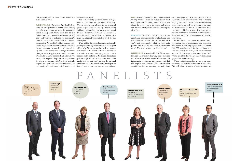has been adopted by some of our downtown the care they need. businesses, as well.

JANICE NEVIN, M.D. (Christiana Care Health System): As an organization, we've been talking about how we can create value in population health management. We've spent the last six months looking at what that means for us. We don't feel we need to redefine our mission; it's more about how we can advance and deliver our mission. We need to build awareness within our organization around population health management and the new level of responsibility and accountability that it brings. It's more than just what happens within our facilities. We aim to achieve optimal health for all we serve, with a special emphasis on populations for whom we assume risk. Our focus extends beyond our patients to all members of the community who look to us for information and

The shift toward population health management has also shifted our focus financially. We are using a new phrase for our financial goals: 'organizational vitality.' We're being deliberate about changing our revenue model from fee-for-service to value-based services. We established Christiana Care Quality Partners, the clinically integrated network for our employees.

What will be the game changer for us is really getting into arrangements in which we're paid differently. We're partnering with an insurer developer at Medicaid and we're setting up a Medicare shared savings program that's aggressively looking at Medicare Advantage partnerships. Delaware is a state innovation model test site and that's driving the external environment to be much more participatory in the kinds of conversations we need to have.

AGEE: I really like your focus on organizational vitality. We've focused on sustainability, but I like organizational vitality better. It's not just about the money, but who we are and what's our mission. That phrase seems to encompass all of that.

MODERATOR: Obviously, the shift from a volume-based environment to a value-based one that assumes greater risk can be painful if you're not prepared. So, what are those pain points, and how do you start to overcome them? What's been your experience so far?

ROBERT HENKEL (Ascension Health): We've gone through an extensive learning period during this transition. We've made investments in infrastructure to help us truly manage risk that will require new data analytics and actuarial capabilities that are necessary to really look

at various populations. We've also made some acquisitions on the insurance side and we're buying insurance licenses in many of the states that we're in so we'll be prepared if we want to use them in the future. At the same time, we have 12 Medicare shared savings plans, several commercial accountable care organizations and we're on the exchanges in many of our states.

As Nancy mentioned, there are similarities in population health management and managing the health of our employees. We have about 300,000 associates and family members who are essentially all risks, and we've learned quite a bit in managing that population. And we've used that knowledge in developing our population health strategy.

When we think about how we serve our communities, we don't think in terms of networks. We talk about systems of care because we

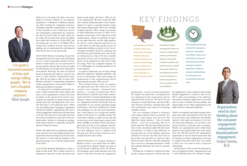believe we're not going to be able to do everything for everyone, whether it's an employer population or a Medicaid or Medicare population. We're looking for community resources, including competitor organizations, to be part of these systems of care to effectively care for our communities, particularly the communities that are most at risk. So, that's where we are today. We currently have about 2.5 million lives under risk contracts as of June 2015. Just six months ago, we were at 1.9 million. We're seeing those numbers increase and actively making sure we understand the total financial risks that we have at any given point.

SANJAY SAXENA (Boston Consulting Group): Balancing between fee-for-service and value-based care is a nearly impossible situation. Investments in value-based care are unrewarded if you get paid the old way. But you have to make the investments to be ready in the value-based environment. Basically, the lines are blurred between financing and delivery, and the two have to come together. Organizations must ask, 'How do we begin to take on more risk?' Whether intended or unintended, population health management is inextricably linked to financing and delivery methods.

 It's important for hospitals and health systems to think outside their walls. Dollars that aren't in the organization's control don't have an impact in the current fee-for-service environment. So naturally, for many systems, that's taking them into managing post-acute care. The final piece is the physician piece. When you start talking about managing a population outside the hospital, organizations will need a clinical engagement model that will allow them to do that. The only way to rationalize all of the necessary investments is to get more of the premium dollar, whether it's through an arrangement with an insurer or, ultimately, having the option of being the insurer.

HENKEL: We pulled all of our physician employment contracts out of the hospital and into new corporations that are being set up in each state. The intent is to show that the purpose of the physician groups is not to fill the hospital beds in the future.

ELLIOT JOSEPH (Hartford HealthCare): I'd like to build on that point. We've asked ourselves a fundamental question as this movement has

begun to take shape, and that is: 'Who are we as an organization?' We have found that difficult to answer during this phase of the transformation. I've spent a concerted amount of time and energy telling people, 'We're not a hospital company anymore.' We're trying to get people to think differently because of where we're headed, and because of the objectives of this transformation, which we probably all agree are the right objectives and the right purpose. So, this is a pretty important question for us to ask. There are still many people across our organization holding on dearly to the 'we-area-hospital' mentality. I know it's confusing, and our behaviors and comments may come across as schizophrenic at times. We have monthly operating reviews and we demand performance at the hospital level. But all the while I'm saying, 'We're not a hospital company.' So it's a challenging, yet exciting moment for us in the industry.

In regard to physicians, we see three things: physician alignment, building capability, and access to information. Those three things are fundamental to this transformation and in answering the question, 'Who are we?'

We've looked closely at how we organize our physicians and, like others here, we've created a new company — Integrated Care Partners — to house our physicians. We've directed them to lead the way toward contracting for risk. We've invested significantly in this endeavor. There's an interesting tension inside our organization between the people who are responsible for our current operating margin performance and those building this chassis and installing it for the near-term transformation. I don't think of it as a long-term transformation at this point. It's a healthy tension. We started this company a couple of years ago and we now have seven value-based contracts with about 145,000 covered lives. We've also done a great deal of work on our employee network. We went from a 6.5 percent increase in yearover-year employee costs to a negative trend this past year. We're proud of that fact; we're energized by the early results.

RHONDA ANDERSON, R.N. (Cardon Children's Medical Center): I can speak from two different perspectives. Banner Health was part of the first group of Medicare ACOs, the Pioneer ACO program, and actually did quite well. One reason it did well is because we changed the

infrastructure, as all of you have mentioned. We aligned our physicians, including those not employed by the organization and we supported their practices. We hired 40 case managers to help physicians and their office staff with the transition, assisting them with risk stratification and using the technology available to them.

The case managers helped to eliminate some misperceptions about our patients. For example, some people may perceive that high-risk cardiac patients — who are mostly elderly — don't use technology. But we've found otherwise. We give them iPads and they have e-visits, checking in daily with their nurse practitioners. It's made a huge difference in keeping them out of the hospital. And these patients love the fact that they don't have to get in their cars and drive to a doctor's office and sit for hours. They do visit with a physician once a year for a thorough assessment. I think this example illustrates the need for systemic change.

Working for a children's hospital provides another unique perspective. Patient and family engagement is more natural in that setting. Family engagement is central to what we do. We've taken our learnings on the children's side and are starting to apply those to the adult side in terms of shared decision-making, and shared plans of care. Those applications to the adult world are extremely important.

SAXENA: As hospitals and health systems determine their paths and question what they will be in the future, they should also ask whether 'patient' is the right word anymore. If we borrow from other industries, we see there's a difference between a customer and a consumer. Health care organizations tend to think about patients as the people within their walls, under their care. But that narrows the organization's opportunity to care for them because there will be instances in which organizations will want to engage with them when they are outside of their care. You want to have a long-term relationship.

Another piece of this is now the next generation of population health. Organizations need to start thinking about the consumer engage-



**Organizations need to start thinking about the consumer engagement components, beyond patient engagement. Sanjay Saxena, M.D.**

**I've spent a concerted amount of time and energy telling people, 'We're not a hospital company anymore.' Elliot Joseph**



**As hospitals and health systems strive to become more consumerfriendly, they may need to rethink some common terminology, such as "patient-centered medical home" and "discharge" to reflect consumer sentiment.**

**Population health management does not mean an organization needs to provide all things to all people. Instead, hospitals and health systems should focus their efforts on providing preventive care and wellness to certain populations, such as patients with comorbidities.**

#### KEY FINDINGS



**Price and brand are top of mind for consumers. However, consumers are willing to go out of network for services if they find poor ratings among in-network physicians. Other important considerations for consumers are convenience and wait** 



**time.** 

Image by Thinkstock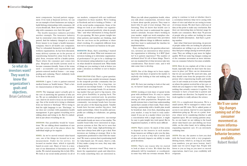ment components, beyond patient engagement. If we look at financial services, we can see an example of how businesses are trying to build lifelong relationships with consumers. All of you should ask, 'How can we have a relationship with consumers over their life span?'

The health insurance industry provides another example. The insurance industry had its existential crisis when health reform passed. And the industry changed as a result. Every insurer is no longer a health insurance company; they're all health care companies. They've rebranded themselves as health and wellness organizations. As has been discussed, many delivery systems are in the process of repositioning themselves away from the hospital. Soon, everyone will be a health system. That's where the consumer part comes into play. Hospitals and health systems need to become consumer-friendly. Some of the terms used — accountable care organizations and patient-centered medical homes — are unappealing and confusing. There's definitely work to be done in this area.

ANDERSON: I agree. I refer to patient-centered medical homes as 'health homes.' That's a better characterization of what they are.

JOSEPH: The language aspect actually gets to the core of answering the question of who are we. We are so embedded in the old system of care. And we do need to focus on our terminology. One of the words we're trying to eliminate from our lexicon is 'discharge.' We're trying to find the right language to use. 'Discharge,' to me does not correlate with population health management. It goes against everything we're talking about and trying to do. But it's embedded in just about everything we do.

ANDERSON: One possibility would be 'transitions.' We are talking about transitions of care and that covers all of the places where the individual might go for support.

HENKEL: As we've moved toward value-based care, one of the things we focused on is our measurement. Under fee for service, we focused on market share, which is typically based on acute care. Share of voice is a measure of our dimensions of Ascension on social media. We started measuring this in July 2014. We look at our social media presence in all of

our markets, compared with our traditional competitors in those markets. We're looking at Facebook and we're looking at Twitter — all of the social media components. Some of the things we look at are whether our organizations are mentioned positively, what do people "like," and what information is being shared? It's eye-opening. We have greater insight into what patients and families are thinking. And then we can focus on the problems or share what's working. It's completely different from how we've measured our business in the past.

MODERATOR: Brian, that's something I wanted to talk with you about. What new measures are investors looking at to determine organizational performance? It's got to be a challenge for the investment rating industries to get a handle on what should be measured now. What kinds of things are you starting to look at before you make a decision on whether or not to finance a bond?

BRIAN CARLSTEAD (Citi): That's a great question. There's been some notable investment changes in the nonprofit provider community that are worth mentioning first. For a long-time, we focused on tax-exempt bonds — it was bricks and mortar, tax-exempt bonds. It's an interesting market that got used to big issuers, who were given flexibility in paying back. The market is more restricted now. As priorities and investments have changed for the provider community, tax-exempt bonds have become just one piece of the financing puzzle. Taxable bonds have become another big piece. And equity partnerships, where for-profits and nonprofits are colliding to collaborate, are gaining ground.

From an investor perspective, tax-exempt and taxable bonds are more or less similar. The taxable bond folks were interested in large, proven systems at first. But we've seen that change over time. Large, high-performing systems have always been able to get a deal. Now investors are looking at strategy: How is the organization positioned to deal with the transition? We want a system that is positioning itself for value-based care. Of course, there's a risk. If they make a jump too soon, they may take a financial hit.

So what do investors want? They want to know the organization's goals and objectives. It's really something they are interested in.

When you talk about population health, when you talk about consumerism, investors want to know about specific projects. They want to know why it's part of your strategy. They are listening. They do know that health care is local, and they want to understand the organization's rationale, because what's working in your market, might not work someplace else. Investors want to understand why providers are doing different things in different markets. And they want to understand the timeline for implementation.

Now, circling back to the question about metrics, investors are interested in what metrics the organization is following. Is it ROI? Quality? Is it patient experience? The number of attributed lives? It's all of these things. There's not one standard list of what investors take into consideration. That doesn't exist, and it will take some time to develop.

JOSEPH: One of the things we've been exploring is the total share of spend in the market. Is anybody else looking at that and making any progress?

AGEE: We have just starting to look at that and, no, we haven't made any progress yet.

SAXENA: Looking at total share of spend works great with attributed lives. It's easy to capture total spend. The challenge, however, lies among all other populations. Hospitals and health systems have a hard time understanding spend that's outside of their walls. That's where having a partnership with a health plan would be beneficial. And, even then, depending upon your market, it may be hard to truly understand. If you are in a market where you have a concentration with a single insurer, it might be easy to gain insight into total spend. But in fragmented markets, it will be more difficult.

JOSEPH: That's correct. So much of this seems to depend on the insurers in each market. Some insurers are willing to give you the data, or give it to you in a way that is useful. Lack of data adversely impacts our ability to make good decisions.

HENKEL: That's one reason why we started to look at share of voice. We think that this ultimately will be translated, or coordinated, in some way with our revenue streams. We're

going to continue to look at whether there's a correlation between what we're seeing with share of voice and what we are seeing in terms of revenue stream. We don't have a full year of data at this point to make any conclusions. But there are interesting data on Internet usage for health care consumers. More than 70 percent of people who go online are looking for some kind of health information. And that's a growing number.

And, what I find most interesting, 44 percent of people online who are looking for physician information are willing to go out of network if they find poor ratings among in-network physicians. They are willing to pay more for higher quality. We'll see some big changes coming out of the consumer movement as more information on consumer behavior becomes available.

NEVIN: How do you explain all of this to your board, especially when we don't have the measures in place yet? How can we demonstrate that we are successful? We need new data, and they should come from the perspective of the person who's experiencing health and health care. It can't remain as it is now, which depends on where the patient received his or her care, or which site you happen to visit virtually. There's nothing that actually connects it together. I'm fortunate to have a board that is patient and understands our direction. I'm hopeful we can work together to really advance the science.

AGEE: It's a complicated discussion. We're a small system. We've managed to reduce readmissions and ED visits. We've added points of access to our system. And we've seen inpatient admissions going up. We are at a point, however, where we're considering whether to add inpatient space. We are turning patients away. So, on one hand, we are talking to the board about value-based care and shifting our focus while, on the other hand, we're talking about expanding inpatient care. It's an extremely confusing time.

JOSEPH: For me, the answer to how you deal with the board starts with a very pragmatic lifelong lesson, which is, as long as you make your numbers, you get more leeway. And I make sure we never forget that. People will listen to you as long as you meet or exceed expectations. And if not, your credibility will evaporate.





**So what do investors want? They want to know the organization's goals and objectives. Brian Carlstead**

> **We'll see some big changes coming out of the consumer movement as more information on consumer behavior becomes available. Robert Henkel**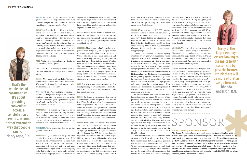MODERATOR: Brian, is that the same case for you? You want to see organizations make their numbers, but you also want to see how they are transitioning to the new model of care.

CARLSTEAD: Exactly. Everything is relative; that's the problem of creating a data set. Ascension is big, but relative to whom? It is big relative to the rest of the sector. So, when we think about creating a metric, it needs to be a metric that's relative to the industry. Can the industry create metrics that make sense and aren't misleading and that can be used in each of your markets? Can we create metrics that are relevant for boards, consumers and investors? That's going to be tough.

whether they make a profit.

CARLSTEAD: Well, it might just come down to that. The financials will always be an important piece.

JOSEPH: What about retail medicine? Consumerism leads us to the idea of retail medicine. When you think about the retail industry, what are the measures of success?

MODERATOR: That's something I wanted to address. As Walgreens, Target, CVS and other retailers enter into your space, are you going to have to measure your organization against them? And, if so, how? Are you going to look at their outcome metrics?

ANDERSON: For a consumer, going to a retail market to see a provider isn't any different from coming to us to see a provider. It might be a little more convenient now. The game changer will be harnessing technology so the consumer never has to leave the house.

AGEE: Walmart, presumably, only looks at care that we've been talking about. We also ANDERSON: That's exactly what I'm saying. If we partner with Walgreens, for example, maybe we won't need to build an urgent care center. We need to look at these retail providers and look at what they can bring to this system of need to consider what the consumer wants. The conveniences that certain age groups want are different. An 80-year-old in Sun City, Ariz., does not want the same thing as a parent with young children. So, it's knowing your consumer market and then trying to devise the system of care that will work for that market.

MODERATOR: That's interesting. Are you getting paid for the e-visits?

ANDERSON: Yes, our providers do get paid for e-visits. But, why not just partner with Walgreens, or with whomever is entering your space? If their locations are more convenient, partnering with them may not be a bad idea. I'm not sure that urgent cares centers are going to be that helpful to us. If we're really building health homes appropriately, then we need to

expand our hours beyond what you would find in a typical physician's practice. I'm concerned that if we build urgent care centers, we would have created just another location and another expense, without adding value.

JOSEPH: Rhonda, I have a similar view on partnerships. I also believe that if we're not the one partnering with retail entities, someone else will. It's going to happen anyway, so why shouldn't it be us?

AGEE: That's the whole idea of consumerism. It's about providing convenient access, a constellation of services, in some sort of systematic way that people can use.

JOSEPH: Our largest growth engine, right now, is a technology platform we put in that's akin to OpenTable. People can schedule appointments with our providers. But, for it to work effectively, we had to fix our operations so we could guarantee 24-hour access to a physician through that technology platform. And people respond to it. It's amazing. It's far and away driving more growth for us than any other thing we're doing.

HENKEL: We've done that as well. We feel we don't need to build more buildings and spend more money on bricks and mortar. Our physician groups have started to open their schedules, 24 hours a day, 365 days a year, both for in-person capabilities, but also virtual capabilities. I have a 25-year-old daughter who lives and works in the tech world of San Francisco. I learn more from her and her friends about what they think about health care than anything that I could ever read. If they can make an appointment with their smartphone, when and where they want it, they're there. And if



they can't, they're going somewhere where they can. That's what we have to understand, and it's so foreign to many of us who have grown up in this industry.

SAXENA: We've now surveyed 25,000 consum-of, if we don't do it, someone else will. We've ers across industries, everything from airlines, retail, luxury goods and the like. For health care, we've found that the fastest-growing segment in the commercial market has been the high-deductible health care plan. If you look at the exchange market, most high-deductible plans are Bronze or Silver. So, consumers are shopping for price.

> g firm and the<br>ents from the pri-<br>nighest-value op-<br>their enterprises. The Boston Consulting Group is a global management consulting firm and the world's leading adviser on business strategy. We partner with clients from the private, public and nonprofit sectors in all regions to identify their highest-value opportunities, address their most critical challenges and transform their enterprises. Our customized approach combines deep insight into the dynamics of companies and markets with close collaboration at all levels of the client organization. This ensures that our clients achieve sustainable competitive advantage, build more capable organizations and secure lasting results. Founded in 1963, BCG is a private company with 82 offices in 46 countries.



If you think about where the market is going over the next five years, you can make a strong argument that 40- to 50 percent of the market is going to be consumer-directed in how they select health insurance. Forget about where they go for care for a moment. Consumers are going to pick their insurance. That's fundamentally different. Patients were usually assigned a Medicare plan. Now Medicare Advantage is the fastest-growing segment. Medicaid is going to be consumer- directed, too. And there's a great deal of talk about private exchanges potentially taking over the employer market. With consumers selecting their insurance product, if you aren't in their network, you may never be considered as a choice.

Our research shows that there are two attributes that make up almost 50 percent of the purchase decision when consumers shop for any service through the plan, and that is price and brand. There are other pieces, including convenience and wait time. Most hospitals and health systems can't compete on price relative to CVS or Walmart. Traditional health care providers are never going to be cheaper than the retail providers, right? Large retailers can scale and subsidize. Hospitals and health systems can find ways to differentiate their services, including harnassing their ability to integrate with the entire continuum of care in a way that a Walmart or CVS cannot. That's a big differentiator.

It does make sense to collaborate with retail on some levels. They offer convenience. They have strong brands. But an important question that all health care organizations should ask is, "What's their endgame and what is ours?" If, at the end of the day, your organization's intent is to own the relationship with consumers, that may be the same intent of Walgreens or Target,

whoever is in your space. You're never going to out-Walmart Walmart by playing the game that is Walmart. So, organizations need to find ways to differentiate, collaborate and compete with them. I worry a little bit about the mindset worked with several organizations that have actually undone their relationships with CVS, Target and other retailers because they have found that their interests are not as aligned as they thought.

ANDERSON: The other piece that we should talk about is direct contracting with businesses. Many of the larger employers, such as Intel, are looking to the major health systems to bypass the insurer. I think there will be more of that as we go forward. And there is a great deal of potential in these arrangements.

JOSEPH: I want to follow up on Sanjay's comment about brand. We're spending a great deal of time creating what I'm calling an "operating brand." How will the consumer experience us, whether they show up online or in person? We're early in this journey, but we're getting very granular about what that experience should look and feel like. That's going to be a key element in how we're able to get that share of the market. And we're a relatively young organization, so people don't really know who we are. And, quite frankly, who we are is mostly that they relate to us as a hospital. We have to bring new talent into the organization to help us create and install our new brand from an operating perspective. That's an essential

piece for us going forward.

### PONSOR

**That's the whole idea of consumerism. It's about providing convenient access, a constellation of services, in some sort of systematic way that people can use. Nancy Agee, R.N.**

**Many of the larger employers are looking to the major health systems to bypass the insurer. I think there will be more of that as we go forward. Rhonda Anderson, R.N.**

#### **Boston Consulting Group/www.bcg.com**